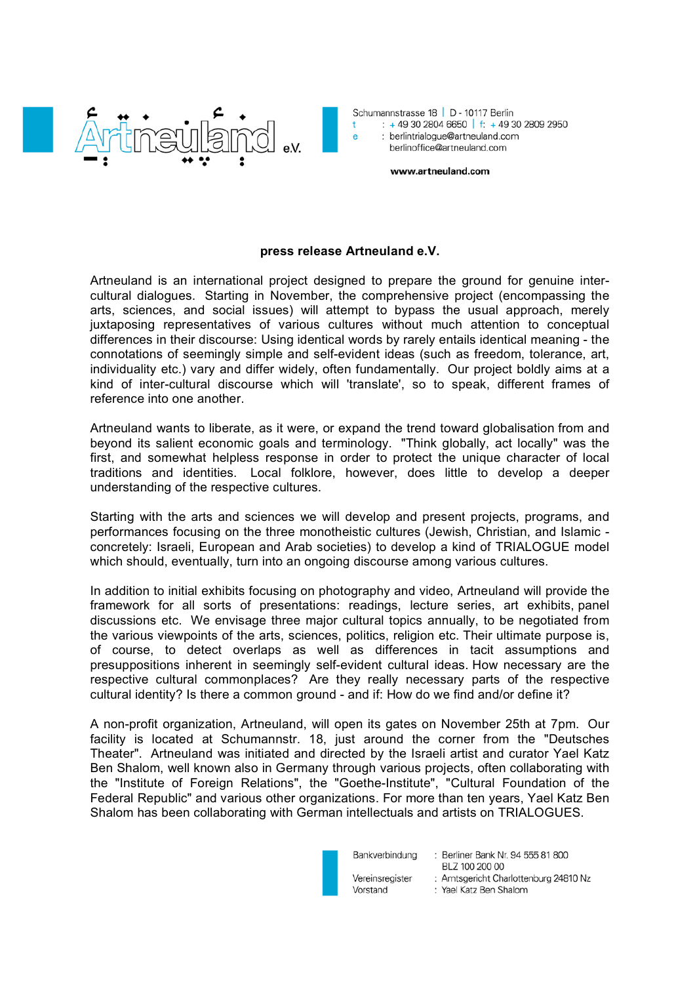



www.artneuland.com

## **press release Artneuland e.V.**

Artneuland is an international project designed to prepare the ground for genuine intercultural dialogues. Starting in November, the comprehensive project (encompassing the arts, sciences, and social issues) will attempt to bypass the usual approach, merely juxtaposing representatives of various cultures without much attention to conceptual differences in their discourse: Using identical words by rarely entails identical meaning - the connotations of seemingly simple and self-evident ideas (such as freedom, tolerance, art, individuality etc.) vary and differ widely, often fundamentally. Our project boldly aims at a kind of inter-cultural discourse which will 'translate', so to speak, different frames of reference into one another.

Artneuland wants to liberate, as it were, or expand the trend toward globalisation from and beyond its salient economic goals and terminology. "Think globally, act locally" was the first, and somewhat helpless response in order to protect the unique character of local traditions and identities. Local folklore, however, does little to develop a deeper understanding of the respective cultures.

Starting with the arts and sciences we will develop and present projects, programs, and performances focusing on the three monotheistic cultures (Jewish, Christian, and Islamic concretely: Israeli, European and Arab societies) to develop a kind of TRIALOGUE model which should, eventually, turn into an ongoing discourse among various cultures.

In addition to initial exhibits focusing on photography and video, Artneuland will provide the framework for all sorts of presentations: readings, lecture series, art exhibits, panel discussions etc. We envisage three major cultural topics annually, to be negotiated from the various viewpoints of the arts, sciences, politics, religion etc. Their ultimate purpose is, of course, to detect overlaps as well as differences in tacit assumptions and presuppositions inherent in seemingly self-evident cultural ideas. How necessary are the respective cultural commonplaces? Are they really necessary parts of the respective cultural identity? Is there a common ground - and if: How do we find and/or define it?

A non-profit organization, Artneuland, will open its gates on November 25th at 7pm. Our facility is located at Schumannstr. 18, just around the corner from the "Deutsches Theater". Artneuland was initiated and directed by the Israeli artist and curator Yael Katz Ben Shalom, well known also in Germany through various projects, often collaborating with the "Institute of Foreign Relations", the "Goethe-Institute", "Cultural Foundation of the Federal Republic" and various other organizations. For more than ten years, Yael Katz Ben Shalom has been collaborating with German intellectuals and artists on TRIALOGUES.



Vereinsregister Vorstand

Bankverbindung : Berliner Bank Nr. 94 555 81 800 BLZ 100 200 00 : Amtsgericht Charlottenburg 24810 Nz : Yael Katz Ben Shalom